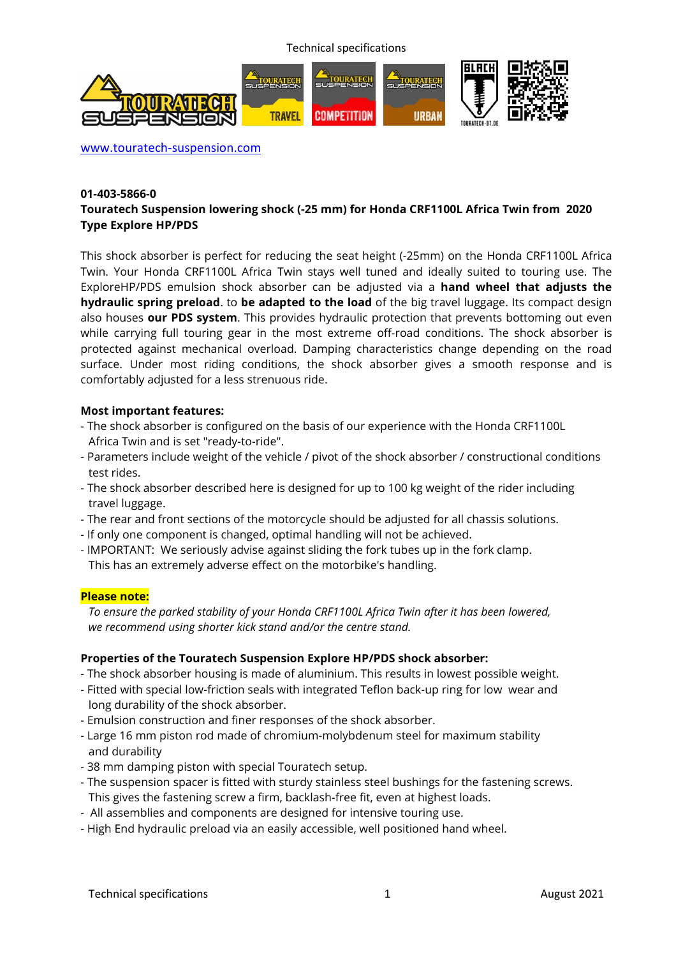Technical specifications



www.touratech-suspension.com

### **01-403-5866-0 Touratech Suspension lowering shock (-25 mm) for Honda CRF1100L Africa Twin from 2020 Type Explore HP/PDS**

This shock absorber is perfect for reducing the seat height (-25mm) on the Honda CRF1100L Africa Twin. Your Honda CRF1100L Africa Twin stays well tuned and ideally suited to touring use. The ExploreHP/PDS emulsion shock absorber can be adjusted via a **hand wheel that adjusts the hydraulic spring preload**. to **be adapted to the load** of the big travel luggage. Its compact design also houses **our PDS system**. This provides hydraulic protection that prevents bottoming out even while carrying full touring gear in the most extreme off-road conditions. The shock absorber is protected against mechanical overload. Damping characteristics change depending on the road surface. Under most riding conditions, the shock absorber gives a smooth response and is comfortably adjusted for a less strenuous ride.

### **Most important features:**

- The shock absorber is configured on the basis of our experience with the Honda CRF1100L Africa Twin and is set "ready-to-ride".
- Parameters include weight of the vehicle / pivot of the shock absorber / constructional conditions test rides.
- The shock absorber described here is designed for up to 100 kg weight of the rider including travel luggage.
- The rear and front sections of the motorcycle should be adjusted for all chassis solutions.
- If only one component is changed, optimal handling will not be achieved.
- IMPORTANT: We seriously advise against sliding the fork tubes up in the fork clamp.
- This has an extremely adverse effect on the motorbike's handling.

### **Please note:**

 *To ensure the parked stability of your Honda CRF1100L Africa Twin after it has been lowered, we recommend using shorter kick stand and/or the centre stand.* 

### **Properties of the Touratech Suspension Explore HP/PDS shock absorber:**

- The shock absorber housing is made of aluminium. This results in lowest possible weight.
- Fitted with special low-friction seals with integrated Teflon back-up ring for low wear and long durability of the shock absorber.
- Emulsion construction and finer responses of the shock absorber.
- Large 16 mm piston rod made of chromium-molybdenum steel for maximum stability and durability
- 38 mm damping piston with special Touratech setup.
- The suspension spacer is fitted with sturdy stainless steel bushings for the fastening screws. This gives the fastening screw a firm, backlash-free fit, even at highest loads.
- All assemblies and components are designed for intensive touring use.
- High End hydraulic preload via an easily accessible, well positioned hand wheel.